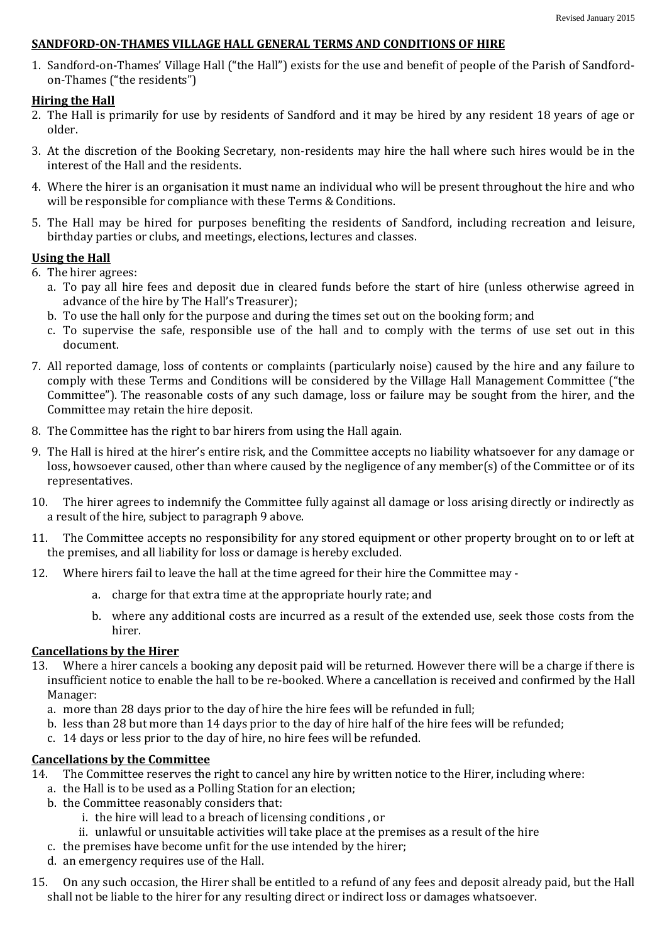### **SANDFORD-ON-THAMES VILLAGE HALL GENERAL TERMS AND CONDITIONS OF HIRE**

1. Sandford-on-Thames' Village Hall ("the Hall") exists for the use and benefit of people of the Parish of Sandfordon-Thames ("the residents")

## **Hiring the Hall**

- 2. The Hall is primarily for use by residents of Sandford and it may be hired by any resident 18 years of age or older.
- 3. At the discretion of the Booking Secretary, non-residents may hire the hall where such hires would be in the interest of the Hall and the residents.
- 4. Where the hirer is an organisation it must name an individual who will be present throughout the hire and who will be responsible for compliance with these Terms & Conditions.
- 5. The Hall may be hired for purposes benefiting the residents of Sandford, including recreation and leisure, birthday parties or clubs, and meetings, elections, lectures and classes.

## **Using the Hall**

- 6. The hirer agrees:
	- a. To pay all hire fees and deposit due in cleared funds before the start of hire (unless otherwise agreed in advance of the hire by The Hall's Treasurer);
	- b. To use the hall only for the purpose and during the times set out on the booking form; and
	- c. To supervise the safe, responsible use of the hall and to comply with the terms of use set out in this document.
- 7. All reported damage, loss of contents or complaints (particularly noise) caused by the hire and any failure to comply with these Terms and Conditions will be considered by the Village Hall Management Committee ("the Committee"). The reasonable costs of any such damage, loss or failure may be sought from the hirer, and the Committee may retain the hire deposit.
- 8. The Committee has the right to bar hirers from using the Hall again.
- 9. The Hall is hired at the hirer's entire risk, and the Committee accepts no liability whatsoever for any damage or loss, howsoever caused, other than where caused by the negligence of any member(s) of the Committee or of its representatives.
- 10. The hirer agrees to indemnify the Committee fully against all damage or loss arising directly or indirectly as a result of the hire, subject to paragraph 9 above.
- 11. The Committee accepts no responsibility for any stored equipment or other property brought on to or left at the premises, and all liability for loss or damage is hereby excluded.
- 12. Where hirers fail to leave the hall at the time agreed for their hire the Committee may
	- a. charge for that extra time at the appropriate hourly rate; and
	- b. where any additional costs are incurred as a result of the extended use, seek those costs from the hirer.

## **Cancellations by the Hirer**

- 13. Where a hirer cancels a booking any deposit paid will be returned. However there will be a charge if there is insufficient notice to enable the hall to be re-booked. Where a cancellation is received and confirmed by the Hall Manager:
	- a. more than 28 days prior to the day of hire the hire fees will be refunded in full;
	- b. less than 28 but more than 14 days prior to the day of hire half of the hire fees will be refunded;
	- c. 14 days or less prior to the day of hire, no hire fees will be refunded.

# **Cancellations by the Committee**

- 14. The Committee reserves the right to cancel any hire by written notice to the Hirer, including where:
	- a. the Hall is to be used as a Polling Station for an election;
	- b. the Committee reasonably considers that:
		- i. the hire will lead to a breach of licensing conditions , or
		- ii. unlawful or unsuitable activities will take place at the premises as a result of the hire
	- c. the premises have become unfit for the use intended by the hirer;
	- d. an emergency requires use of the Hall.
- 15. On any such occasion, the Hirer shall be entitled to a refund of any fees and deposit already paid, but the Hall shall not be liable to the hirer for any resulting direct or indirect loss or damages whatsoever.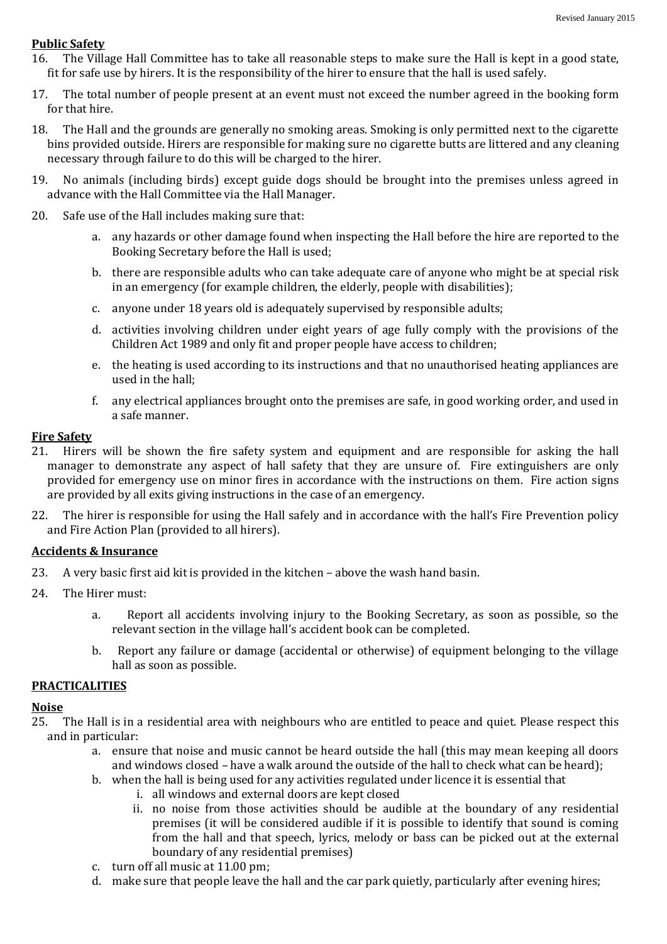### **Public Safety**

- 16. The Village Hall Committee has to take all reasonable steps to make sure the Hall is kept in a good state, fit for safe use by hirers. It is the responsibility of the hirer to ensure that the hall is used safely.
- 17. The total number of people present at an event must not exceed the number agreed in the booking form for that hire.
- 18. The Hall and the grounds are generally no smoking areas. Smoking is only permitted next to the cigarette bins provided outside. Hirers are responsible for making sure no cigarette butts are littered and any cleaning necessary through failure to do this will be charged to the hirer.
- 19. No animals (including birds) except guide dogs should be brought into the premises unless agreed in advance with the Hall Committee via the Hall Manager.
- 20. Safe use of the Hall includes making sure that:
	- a. any hazards or other damage found when inspecting the Hall before the hire are reported to the Booking Secretary before the Hall is used;
	- b. there are responsible adults who can take adequate care of anyone who might be at special risk in an emergency (for example children, the elderly, people with disabilities);
	- c. anyone under 18 years old is adequately supervised by responsible adults;
	- d. activities involving children under eight years of age fully comply with the provisions of the Children Act 1989 and only fit and proper people have access to children;
	- e. the heating is used according to its instructions and that no unauthorised heating appliances are used in the hall;
	- f. any electrical appliances brought onto the premises are safe, in good working order, and used in a safe manner.

## **Fire Safety**

- 21. Hirers will be shown the fire safety system and equipment and are responsible for asking the hall manager to demonstrate any aspect of hall safety that they are unsure of. Fire extinguishers are only provided for emergency use on minor fires in accordance with the instructions on them. Fire action signs are provided by all exits giving instructions in the case of an emergency.
- 22. The hirer is responsible for using the Hall safely and in accordance with the hall's Fire Prevention policy and Fire Action Plan (provided to all hirers).

#### **Accidents & Insurance**

- 23. A very basic first aid kit is provided in the kitchen above the wash hand basin.
- 24. The Hirer must:
	- a. Report all accidents involving injury to the Booking Secretary, as soon as possible, so the relevant section in the village hall's accident book can be completed.
	- b. Report any failure or damage (accidental or otherwise) of equipment belonging to the village hall as soon as possible.

#### **PRACTICALITIES**

#### **Noise**

- 25. The Hall is in a residential area with neighbours who are entitled to peace and quiet. Please respect this and in particular:
	- a. ensure that noise and music cannot be heard outside the hall (this may mean keeping all doors and windows closed – have a walk around the outside of the hall to check what can be heard);
	- b. when the hall is being used for any activities regulated under licence it is essential that
		- i. all windows and external doors are kept closed
		- ii. no noise from those activities should be audible at the boundary of any residential premises (it will be considered audible if it is possible to identify that sound is coming from the hall and that speech, lyrics, melody or bass can be picked out at the external boundary of any residential premises)
	- c. turn off all music at 11.00 pm;
	- d. make sure that people leave the hall and the car park quietly, particularly after evening hires;